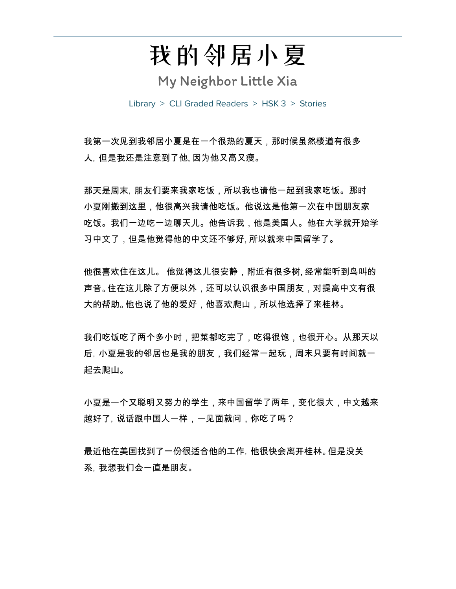我的邻居小夏

My Neighbor Little Xia

Library > CLI Graded Readers > HSK 3 > Stories

我第一次见到我邻居小夏是在一个很热的夏天,那时候虽然楼道有很多 人,但是我还是注意到了他, 因为他又高又瘦。

那天是周末,朋友们要来我家吃饭,所以我也请他一起到我家吃饭。那时 小夏刚搬到这里,他很高兴我请他吃饭。他说这是他第一次在中国朋友家 吃饭。我们一边吃一边聊天儿。他告诉我,他是美国人。他在大学就开始学 习中文了,但是他觉得他的中文还不够好, 所以就来中国留学了。

他很喜欢住在这儿。 他觉得这儿很安静,附近有很多树, 经常能听到鸟叫的 声音。住在这儿除了方便以外,还可以认识很多中国朋友,对提高中文有很 大的帮助。他也说了他的爱好,他喜欢爬山,所以他选择了来桂林。

我们吃饭吃了两个多小时,把菜都吃完了,吃得很饱,也很开心。从那天以 后,小夏是我的邻居也是我的朋友,我们经常一起玩,周末只要有时间就一 起去爬山。

小夏是一个又聪明又努力的学生,来中国留学了两年,变化很大,中文越来 越好了,说话跟中国人一样,一见面就问,你吃了吗?

最近他在美国找到了一份很适合他的工作,他很快会离开桂林。但是没关 系,我想我们会一直是朋友。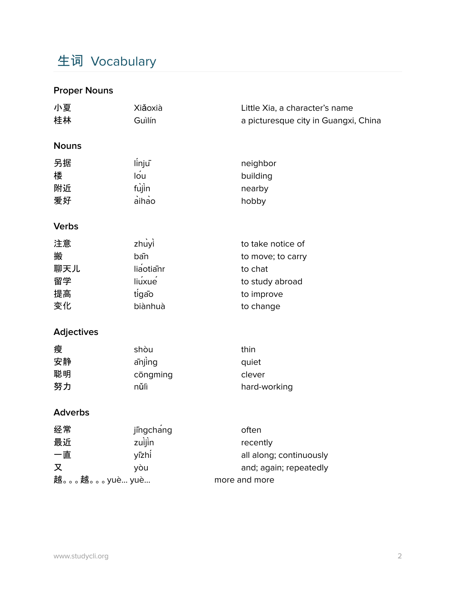# 生词 Vocabulary

### **Proper Nouns**

| 小夏<br>桂林                                                                     | Xiǎoxià<br>Guìlín                                                                             | Little Xia, a character's name<br>a picturesque city in Guangxi, China                                                                     |
|------------------------------------------------------------------------------|-----------------------------------------------------------------------------------------------|--------------------------------------------------------------------------------------------------------------------------------------------|
| <b>Nouns</b>                                                                 |                                                                                               |                                                                                                                                            |
| 另据<br>楼<br>附近<br>爱好                                                          | linju<br>lou<br>fujin<br>aihao                                                                | neighbor<br>building<br>nearby<br>hobby                                                                                                    |
| <b>Verbs</b>                                                                 |                                                                                               |                                                                                                                                            |
| 注意<br>搬<br>聊天儿<br>留学<br>提高<br>变化<br><b>Adjectives</b><br>瘦<br>安静<br>聪明<br>努力 | zhuyì<br>ban<br>liaotianr<br>liuxue<br>tigao<br>biànhuà<br>shòu<br>anjing<br>cōngming<br>nůlì | to take notice of<br>to move; to carry<br>to chat<br>to study abroad<br>to improve<br>to change<br>thin<br>quiet<br>clever<br>hard-working |
| <b>Adverbs</b>                                                               |                                                                                               |                                                                                                                                            |
| 经常<br>最近<br>一直<br>又<br>越。。。越。。。yuè yuè                                       | jingchang<br>zuijin<br>yīzhi<br>yòu                                                           | often<br>recently<br>all along; continuously<br>and; again; repeatedly<br>more and more                                                    |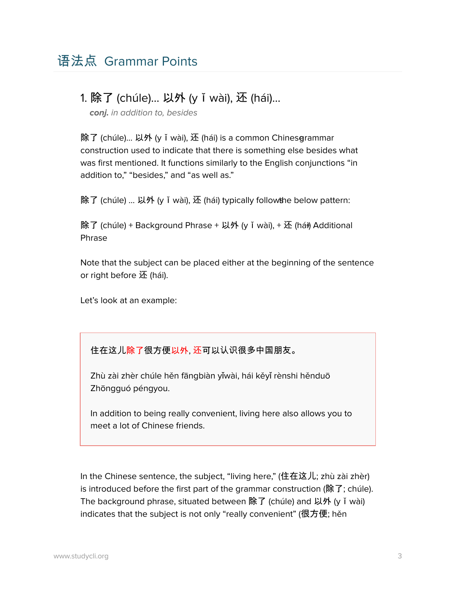### 1. 除了 (chúle)... 以外 (yǐwài), 还 (hái)…

**conj.** in addition to, besides

除了 (chúle)... 以外 (y ǐ wài), 还 (hái) is a common Chinesgrammar construction used to indicate that there is something else besides what was first mentioned. It functions similarly to the English conjunctions "in addition to," "besides," and "as well as."

除了 (chúle) ... 以外 (y ǐ wài), 还 (hái) typically followthe below pattern:

除了 (chúle) + Background Phrase + 以外 (y ǐ wài), + 还 (hái) Additional Phrase

Note that the subject can be placed either at the beginning of the sentence or right before  $\mathbf{\overline{X}}$  (hái).

Let's look at an example:

#### 住在这儿除了很方便以外, 还可以认识很多中国朋友。

Zhù zài zhèr chúle hěn fāngbiàn yǐwài, hái kěyǐ rènshi hěnduō Zhōngguó péngyou.

In addition to being really convenient, living here also allows you to meet a lot of Chinese friends.

In the Chinese sentence, the subject, "living here," (住在这儿; zhù zài zhèr) is introduced before the first part of the grammar construction (除了; chúle). The background phrase, situated between 除了 (chúle) and 以外 (y ǐ wài) indicates that the subject is not only "really convenient" (很方便; hěn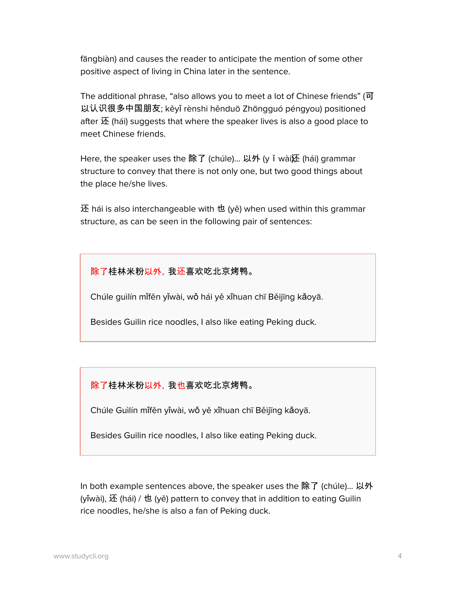fāngbiàn) and causes the reader to anticipate the mention of some other positive aspect of living in China later in the sentence.

The additional phrase, "also allows you to meet a lot of Chinese friends" (可 以认识很多中国朋友; kěyǐ rènshi hěnduō Zhōngguó péngyou) positioned after  $\overline{\mathfrak{X}}$  (hái) suggests that where the speaker lives is also a good place to meet Chinese friends.

Here, the speaker uses the 除了 (chúle)... 以外 (y ǐ wài还 (hái) grammar structure to convey that there is not only one, but two good things about the place he/she lives.

还 hái is also interchangeable with 也 (yě) when used within this grammar structure, as can be seen in the following pair of sentences:

除了桂林米粉以外,我还喜欢吃北京烤鸭。

Chúle guìlín mǐfěn yǐwài, wǒ hái yě xǐhuan chī Běijīng kǎoyā.

Besides Guilin rice noodles, I also like eating Peking duck.

除了桂林米粉以外,我也喜欢吃北京烤鸭。

Chúle Guìlín mǐfěn yǐwài, wǒ yě xǐhuan chī Běijīng kǎoyā.

Besides Guilin rice noodles, I also like eating Peking duck.

In both example sentences above, the speaker uses the 除了 (chúle)... 以外 (yǐwài), 还 (hái) / 也 (yě) pattern to convey that in addition to eating Guilin rice noodles, he/she is also a fan of Peking duck.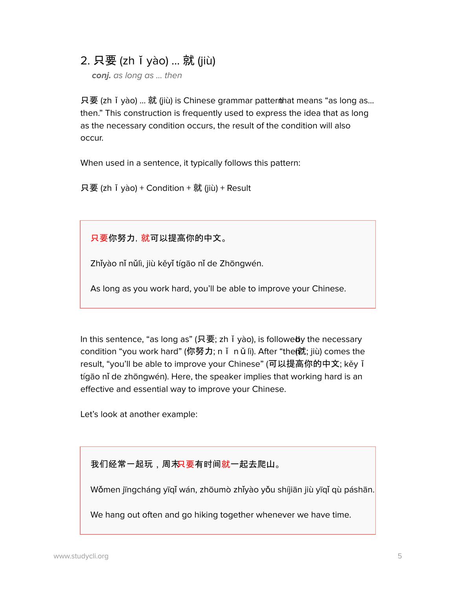### 2. 只要 (zhǐyào) ... 就 (jiù)

**conj.** as long as … then

只要 (zh ǐ yào) ... 就 (jiù) is Chinese grammar patterthat means "as long as... then." This construction is frequently used to express the idea that as long as the necessary condition occurs, the result of the condition will also occur.

When used in a sentence, it typically follows this pattern:

只要 (zh ǐ yào) + Condition + 就 (jiù) + Result

只要你努力,就可以提高你的中文。

Zhǐyào nǐ nǔlì, jiù kěyǐ tígāo nǐ de Zhōngwén.

As long as you work hard, you'll be able to improve your Chinese.

In this sentence, "as long as" (只要; zh ǐ yào), is followedy the necessary condition "you work hard" (你努力; n I n  $\check{u}$  lì). After "the(就; jiù) comes the result, "you'll be able to improve your Chinese" (可以提高你的中文; kěy ǐ tígāo nǐ de zhōngwén). Here, the speaker implies that working hard is an effective and essential way to improve your Chinese.

Let's look at another example:

我们经常一起玩,周末R要有时间就一起去爬山。

Wǒmen jīngcháng yīqǐ wán, zhōumò zhǐyào yǒu shíjiān jiù yīqǐ qù páshān.

We hang out often and go hiking together whenever we have time.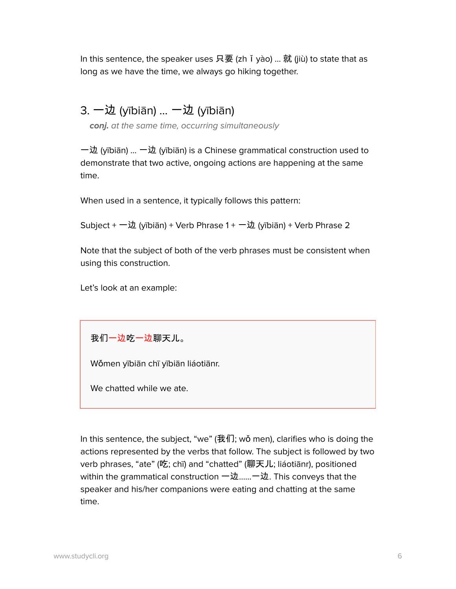In this sentence, the speaker uses 只要 (zhǐyào) ... 就 (jiù) to state that as long as we have the time, we always go hiking together.

## 3. 一边 (yībiān) … 一边 (yībiān)

**conj.** at the same time, occurring simultaneously

一边 (yībiān) … 一边 (yībiān) is a Chinese grammatical construction used to demonstrate that two active, ongoing actions are happening at the same time.

When used in a sentence, it typically follows this pattern:

Subject + 一边 (yībiān) + Verb Phrase 1 + 一边 (yībiān) + Verb Phrase 2

Note that the subject of both of the verb phrases must be consistent when using this construction.

Let's look at an example:

我们一边吃一边聊天儿。

Wǒmen yībiān chī yībiān liáotiānr.

We chatted while we ate.

In this sentence, the subject, "we" (我们; wǒ men), clarifies who is doing the actions represented by the verbs that follow. The subject is followed by two verb phrases, "ate" (吃; chī) and "chatted" (聊天儿; liáotiānr), positioned within the grammatical construction  $-\underline{\psi}$ .......一边. This conveys that the speaker and his/her companions were eating and chatting at the same time.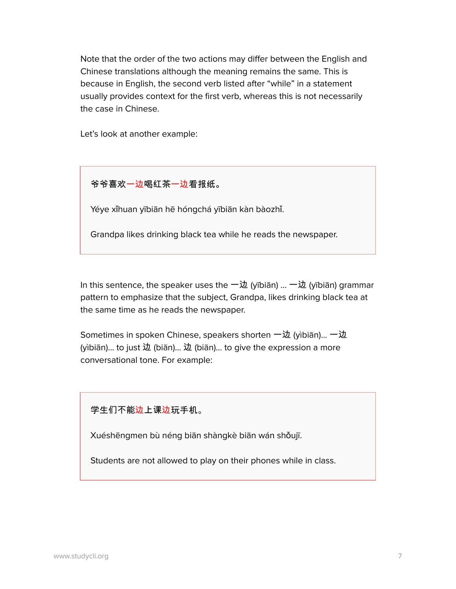Note that the order of the two actions may differ between the English and Chinese translations although the meaning remains the same. This is because in English, the second verb listed after "while" in a statement usually provides context for the first verb, whereas this is not necessarily the case in Chinese.

Let's look at another example:

爷爷喜欢一边喝红茶一边看报纸。

Yéye xǐhuan yībiān hē hóngchá yībiān kàn bàozhǐ.

Grandpa likes drinking black tea while he reads the newspaper.

In this sentence, the speaker uses the  $-\frac{1}{20}$  (yībiān) ...  $-\frac{1}{20}$  (yībiān) grammar pattern to emphasize that the subject, Grandpa, likes drinking black tea at the same time as he reads the newspaper.

Sometimes in spoken Chinese, speakers shorten 一边 (yìbiān)... 一边 (yìbiān)… to just 边 (biān)… 边 (biān)… to give the expression a more conversational tone. For example:

#### 学生们不能<u>边</u>上课边玩手机。

Xuéshēngmen bù néng biān shàngkè biān wán shǒujī.

Students are not allowed to play on their phones while in class.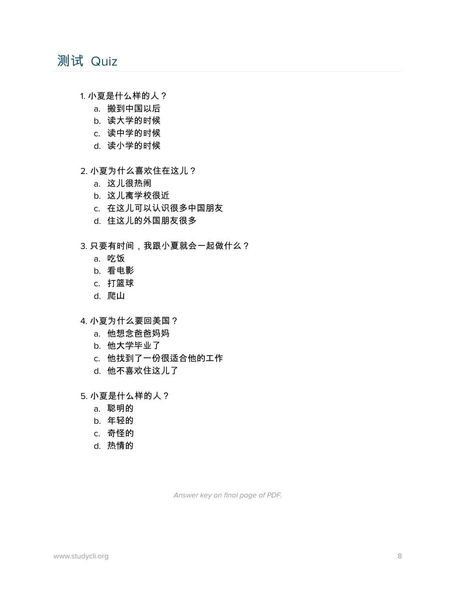# 测试 Quiz

- 1. 小夏是什么样的人?
	- a. 搬到中国以后
	- b. 读大学的时候
	- c. 读中学的时候
	- d. 读小学的时候
- 2. 小夏为什么喜欢住在这儿?
	- a. 这儿很热闹
	- b. 这儿离学校很近
	- c. 在这儿可以认识很多中国朋友
	- d. 住这儿的外国朋友很多
- 3. 只要有时间,我跟小夏就会一起做什么?
	- a. 吃饭
	- b. 看电影
	- c. 打篮球
	- d. 爬山
- 4. 小夏为什么要回美国?
	- a. 他想念爸爸妈妈
	- b. 他大学毕业了
	- c. 他找到了一份很适合他的工作
	- d. 他不喜欢住这儿了
- 5. 小夏是什么样的人?
	- a. 聪明的
	- b. 年轻的
	- c. 奇怪的
	- d. 热情的

Answer key on final page of PDF.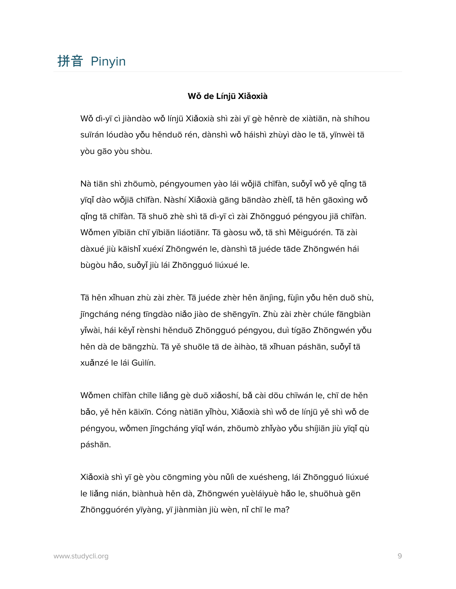# 拼音 Pinyin

#### **Wǒ de Línjū Xiǎoxià**

Wǒ dì-yī cì jiàndào wǒ línjū Xiǎoxià shì zài yī gè hěnrè de xiàtiān, nà shíhou suīrán lóudào yǒu hěnduō rén, dànshì wǒ háishì zhùyì dào le tā, yīnwèi tā yòu gāo yòu shòu.

Nà tiān shì zhōumò, péngyoumen yào lái wǒjiā chīfàn, suǒyǐ wǒ yě qǐng tā yīqǐ dào wǒjiā chīfàn. Nàshí Xiǎoxià gāng bāndào zhèlǐ, tā hěn gāoxìng wǒ qǐng tā chīfàn. Tā shuō zhè shì tā dì-yī cì zài Zhōngguó péngyou jiā chīfàn. Wǒmen yībiān chī yībiān liáotiānr. Tā gàosu wǒ, tā shì Měiguórén. Tā zài dàxué jiù kāishǐ xuéxí Zhōngwén le, dànshì tā juéde tāde Zhōngwén hái bùgòu hǎo, suǒyǐ jiù lái Zhōngguó liúxué le.

Tā hěn xǐhuan zhù zài zhèr. Tā juéde zhèr hěn ānjìng, fùjìn yǒu hěn duō shù, jīngcháng néng tīngdào niǎo jiào de shēngyīn. Zhù zài zhèr chúle fāngbiàn yǐwài, hái kěyǐ rènshi hěnduō Zhōngguó péngyou, duì tígāo Zhōngwén yǒu hěn dà de bāngzhù. Tā yě shuōle tā de àihào, tā xǐhuan páshān, suǒyǐ tā xuǎnzé le lái Guìlín.

Wǒmen chīfàn chīle liǎng gè duō xiǎoshí, bǎ cài dōu chīwán le, chī de hěn bǎo, yě hěn kāixīn. Cóng nàtiān yǐhòu, Xiǎoxià shì wǒ de línjū yě shì wǒ de péngyou, wǒmen jīngcháng yīqǐ wán, zhōumò zhǐyào yǒu shíjiān jiù yīqǐ qù páshān.

Xiǎoxià shì yī gè yòu cōngming yòu nǔlì de xuésheng, lái Zhōngguó liúxué le liǎng nián, biànhuà hěn dà, Zhōngwén yuèláiyuè hǎo le, shuōhuà gēn Zhōngguórén yīyàng, yī jiànmiàn jiù wèn, nǐ chī le ma?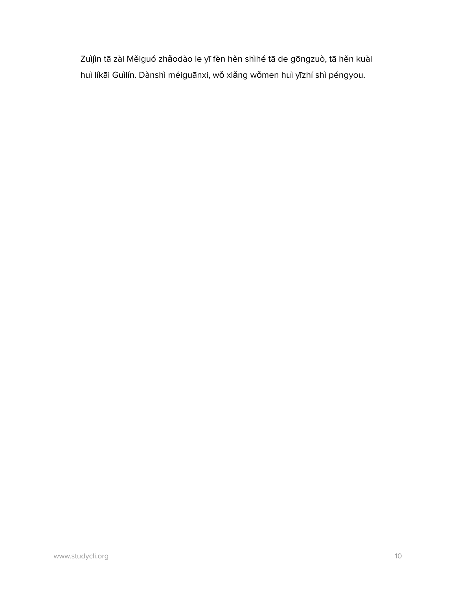Zuìjìn tā zài Měiguó zhǎodào le yī fèn hěn shìhé tā de gōngzuò, tā hěn kuài huì líkāi Guìlín. Dànshì méiguānxi, wǒ xiǎng wǒmen huì yīzhí shì péngyou.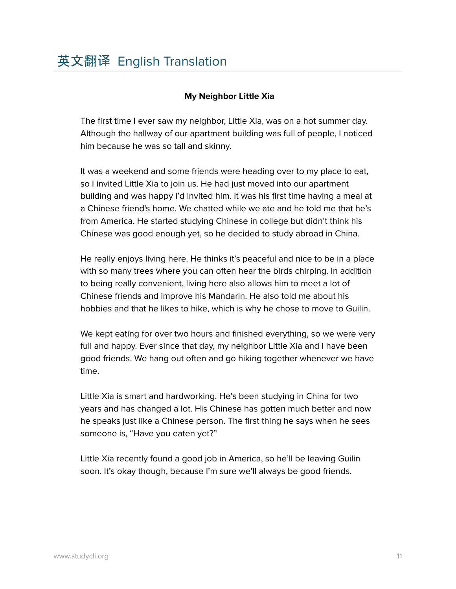#### **My Neighbor Little Xia**

The first time I ever saw my neighbor, Little Xia, was on a hot summer day. Although the hallway of our apartment building was full of people, I noticed him because he was so tall and skinny.

It was a weekend and some friends were heading over to my place to eat, so I invited Little Xia to join us. He had just moved into our apartment building and was happy I'd invited him. It was his first time having a meal at a Chinese friend's home. We chatted while we ate and he told me that he's from America. He started studying Chinese in college but didn't think his Chinese was good enough yet, so he decided to study abroad in China.

He really enjoys living here. He thinks it's peaceful and nice to be in a place with so many trees where you can often hear the birds chirping. In addition to being really convenient, living here also allows him to meet a lot of Chinese friends and improve his Mandarin. He also told me about his hobbies and that he likes to hike, which is why he chose to move to Guilin.

We kept eating for over two hours and finished everything, so we were very full and happy. Ever since that day, my neighbor Little Xia and I have been good friends. We hang out often and go hiking together whenever we have time.

Little Xia is smart and hardworking. He's been studying in China for two years and has changed a lot. His Chinese has gotten much better and now he speaks just like a Chinese person. The first thing he says when he sees someone is, "Have you eaten yet?"

Little Xia recently found a good job in America, so he'll be leaving Guilin soon. It's okay though, because I'm sure we'll always be good friends.